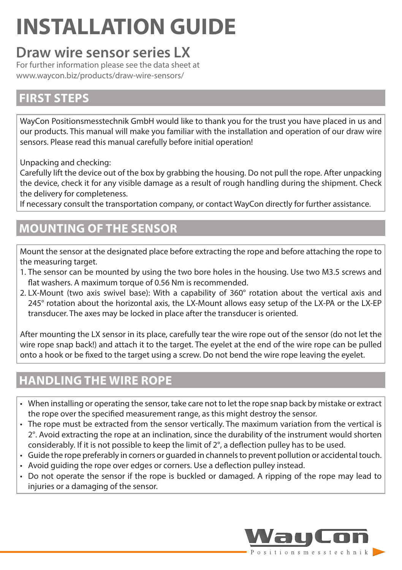# **INSTALLATION GUIDE**

# **Draw wire sensor series LX**

For further information please see the data sheet at www.waycon.biz/products/draw-wire-sensors/

#### **FIRST STEPS**

WayCon Positionsmesstechnik GmbH would like to thank you for the trust you have placed in us and our products. This manual will make you familiar with the installation and operation of our draw wire sensors. Please read this manual carefully before initial operation!

Unpacking and checking:

Carefully lift the device out of the box by grabbing the housing. Do not pull the rope. After unpacking the device, check it for any visible damage as a result of rough handling during the shipment. Check the delivery for completeness.

If necessary consult the transportation company, or contact WayCon directly for further assistance.

#### **MOUNTING OF THE SENSOR**

Mount the sensor at the designated place before extracting the rope and before attaching the rope to the measuring target.

- 1. The sensor can be mounted by using the two bore holes in the housing. Use two M3.5 screws and flat washers. A maximum torque of 0.56 Nm is recommended.
- 2. LX-Mount (two axis swivel base): With a capability of 360° rotation about the vertical axis and 245° rotation about the horizontal axis, the LX-Mount allows easy setup of the LX-PA or the LX-EP transducer. The axes may be locked in place after the transducer is oriented.

After mounting the LX sensor in its place, carefully tear the wire rope out of the sensor (do not let the wire rope snap back!) and attach it to the target. The eyelet at the end of the wire rope can be pulled onto a hook or be fixed to the target using a screw. Do not bend the wire rope leaving the eyelet.

# **HANDLING THE WIRE ROPE**

- When installing or operating the sensor, take care not to let the rope snap back by mistake or extract the rope over the specified measurement range, as this might destroy the sensor.
- The rope must be extracted from the sensor vertically. The maximum variation from the vertical is 2°. Avoid extracting the rope at an inclination, since the durability of the instrument would shorten considerably. If it is not possible to keep the limit of 2°, a deflection pulley has to be used.
- Guide the rope preferably in corners or guarded in channels to prevent pollution or accidental touch.
- Avoid guiding the rope over edges or corners. Use a deflection pulley instead.
- Do not operate the sensor if the rope is buckled or damaged. A ripping of the rope may lead to injuries or a damaging of the sensor.

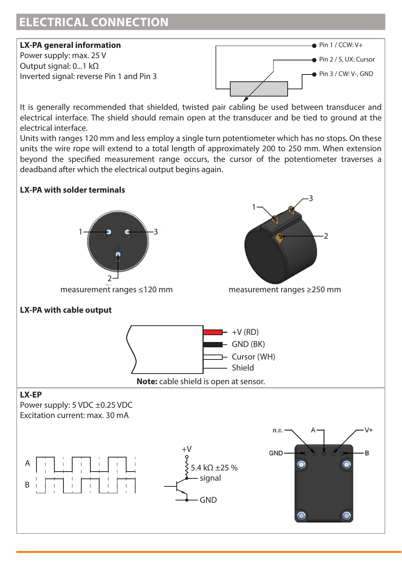#### **ELECTRICAL CONNECTION**

#### **LX-PA general information**

Power supply: max. 25 V Output signal: 0...1 kΩ Inverted signal: reverse Pin 1 and Pin 3



It is generally recommended that shielded, twisted pair cabling be used between transducer and electrical interface. The shield should remain open at the transducer and be tied to ground at the electrical interface.

Units with ranges 120 mm and less employ a single turn potentiometer which has no stops. On these units the wire rope will extend to a total length of approximately 200 to 250 mm. When extension beyond the specified measurement range occurs, the cursor of the potentiometer traverses a deadband after which the electrical output begins again.

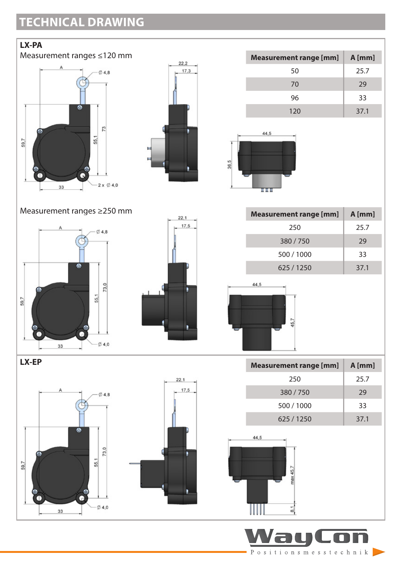# **TECHNICAL DRAWING**